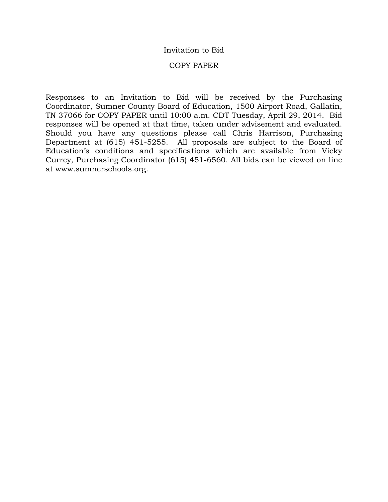### Invitation to Bid

#### COPY PAPER

Responses to an Invitation to Bid will be received by the Purchasing Coordinator, Sumner County Board of Education, 1500 Airport Road, Gallatin, TN 37066 for COPY PAPER until 10:00 a.m. CDT Tuesday, April 29, 2014. Bid responses will be opened at that time, taken under advisement and evaluated. Should you have any questions please call Chris Harrison, Purchasing Department at (615) 451-5255. All proposals are subject to the Board of Education's conditions and specifications which are available from Vicky Currey, Purchasing Coordinator (615) 451-6560. All bids can be viewed on line at www.sumnerschools.org.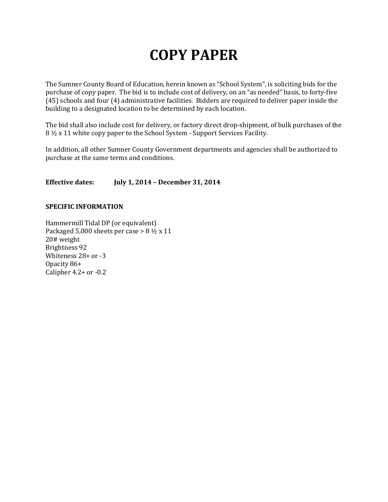# **COPY PAPER**

The Sumner County Board of Education, herein known as "School System", is soliciting bids for the purchase of copy paper. The bid is to include cost of delivery, on an "as needed" basis, to forty-five (45) schools and four (4) administrative facilities. Bidders are required to deliver paper inside the building to a designated location to be determined by each location.

The bid shall also include cost for delivery, or factory direct drop-shipment, of bulk purchases of the 8 ½ x 11 white copy paper to the School System - Support Services Facility.

In addition, all other Sumner County Government departments and agencies shall be authorized to purchase at the same terms and conditions.

#### **Effective dates: July 1, 2014 – December 31, 2014**

#### **SPECIFIC INFORMATION**

Hammermill Tidal DP (or equivalent) Packaged 5,000 sheets per case  $> 8 \frac{1}{2} \times 11$ 20# weight Brightness 92 Whiteness 28+ or -3 Opacity 86+ Calipher 4.2+ or -0.2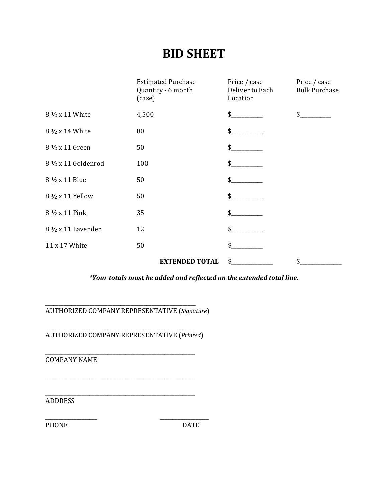## **BID SHEET**

|                     | <b>Estimated Purchase</b><br>Quantity - 6 month<br>(case) | Price / case<br>Deliver to Each<br>Location | Price / case<br><b>Bulk Purchase</b> |
|---------------------|-----------------------------------------------------------|---------------------------------------------|--------------------------------------|
| 8 1/2 x 11 White    | 4,500                                                     | \$                                          |                                      |
| 8 1/2 x 14 White    | 80                                                        | \$                                          |                                      |
| 8 ½ x 11 Green      | 50                                                        | \$                                          |                                      |
| 8 ½ x 11 Goldenrod  | 100                                                       | \$                                          |                                      |
| 8 ½ x 11 Blue       | 50                                                        | \$                                          |                                      |
| 8 ½ x 11 Yellow     | 50                                                        | \$                                          |                                      |
| 8 ½ x 11 Pink       | 35                                                        | \$                                          |                                      |
| 8 1/2 x 11 Lavender | 12                                                        | \$                                          |                                      |
| 11 x 17 White       | 50                                                        | \$                                          |                                      |
|                     | <b>EXTENDED TOTAL</b>                                     | \$                                          | \$                                   |

*\*Your totals must be added and reflected on the extended total line.*

\_\_\_\_\_\_\_\_\_\_\_\_\_\_\_\_\_\_\_\_\_\_\_\_\_\_\_\_\_\_\_\_\_\_\_\_\_\_\_\_\_\_\_\_\_\_\_\_\_\_\_\_\_\_\_\_\_\_ AUTHORIZED COMPANY REPRESENTATIVE (*Signature*)

\_\_\_\_\_\_\_\_\_\_\_\_\_\_\_\_\_\_\_\_\_\_\_\_\_\_\_\_\_\_\_\_\_\_\_\_\_\_\_\_\_\_\_\_\_\_\_\_\_\_\_\_\_\_\_\_\_\_ AUTHORIZED COMPANY REPRESENTATIVE (*Printed*)

\_\_\_\_\_\_\_\_\_\_\_\_\_\_\_\_\_\_\_\_\_\_\_\_\_\_\_\_\_\_\_\_\_\_\_\_\_\_\_\_\_\_\_\_\_\_\_\_\_\_\_\_\_\_\_\_\_\_

\_\_\_\_\_\_\_\_\_\_\_\_\_\_\_\_\_\_\_\_\_\_\_\_\_\_\_\_\_\_\_\_\_\_\_\_\_\_\_\_\_\_\_\_\_\_\_\_\_\_\_\_\_\_\_\_\_\_ COMPANY NAME

\_\_\_\_\_\_\_\_\_\_\_\_\_\_\_\_\_\_\_\_\_\_\_\_\_\_\_\_\_\_\_\_\_\_\_\_\_\_\_\_\_\_\_\_\_\_\_\_\_\_\_\_\_\_\_\_\_\_ ADDRESS

\_\_\_\_\_\_\_\_\_\_\_\_\_\_\_\_\_\_\_\_ \_\_\_\_\_\_\_\_\_\_\_\_\_\_\_\_\_\_\_ PHONE DATE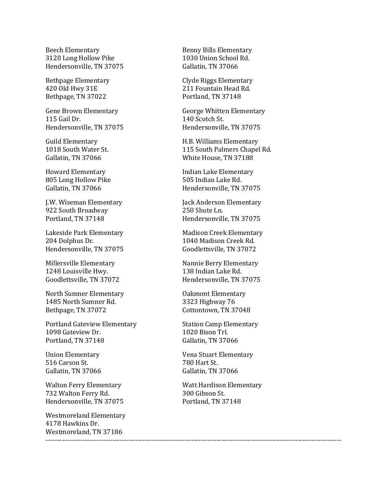Beech Elementary **Benny Bills Elementary**<br> **Benny Bills Elementary**<br> **Benny Bills Elementary**<br> **Benny Bills Elementary** 3120 Long Hollow Pike 1030 Union School<br>Hendersonville, TN 37075 Gallatin, TN 37066 Hendersonville, TN 37075

Bethpage, TN 37022

115 Gail Dr. 140 Scotch St.<br>
Hendersonville. TN 37075 Hendersonvill

805 Long Hollow Pike<br>Gallatin, TN 37066

922 South Broadway<br>Portland, TN 37148

204 Dolphus Dr. 1040 Madison Creek Rd.<br>1040 Madison Creek Rd. 6000 Goodlettsville. TN 37072

1248 Louisville Hwy.<br>Goodlettsville. TN 37072

North Sumner Elementary Oakmont Elementary 1485 North Sumner Rd.<br>Bethpage, TN 37072

Portland Gateview Elementary Station Camp Elementary<br>1098 Gateview Dr. 1020 Bison Trl. 1098 Gateview Dr. 1020 Bison Trl.<br>Portland, TN 37148 6allatin, TN 37066 Portland, TN 37148

516 Carson St. 2005. 2005. 2014 780 Hart St. 2016. 2016. 2016. 2016. 2016. 2016. 2016. 2017. 2018. 2019. 2016. 2016. 2017. 2018. 2019. 2019. 2019. 2019. 2019. 2019. 2019. 2019. 2019. 2019. 2019. 2019. 2019. 2019. 2019. 201 Gallatin, TN 37066

732 Walton Ferry Rd.<br>
Hendersonville, TN 37075 Portland, TN 37148 Hendersonville, TN 37075

Westmoreland Elementary 4178 Hawkins Dr. Westmoreland, TN 37186

Bethpage Elementary Clyde Riggs Elementary 211 Fountain Head Rd.<br>Portland. TN 37148

Gene Brown Elementary George Whitten Elementary<br>115 Gail Dr. 140 Scotch St. Hendersonville, TN 37075 Hendersonville, TN 37075

Guild Elementary **Fig. 1988**<br>1018 South Water St. **115 South Palmers Chapel** 1018 South Water St. 115 South Palmers Chapel Rd. White House, TN 37188

Howard Elementary Franch Boward Elementary<br>
805 Long Hollow Pike Franch South Books and South South South South Books and South South South South South S Hendersonville, TN 37075

J.W. Wiseman Elementary [Jack Anderson Elementary 1922 South Broadway 1982 250 Shute Ln. Hendersonville, TN 37075

Lakeside Park Elementary Madison Creek Elementary<br>204 Dolphus Dr. 1040 Madison Creek Rd. Goodlettsville, TN 37072

Millersville Elementary Nannie Berry Elementary Hendersonville, TN 37075

Cottontown, TN 37048

Union Elementary Vena Stuart Elementary

Walton Ferry Elementary Watt Hardison Elementary

--------------------------------------------------------------------------------------------------------------------------------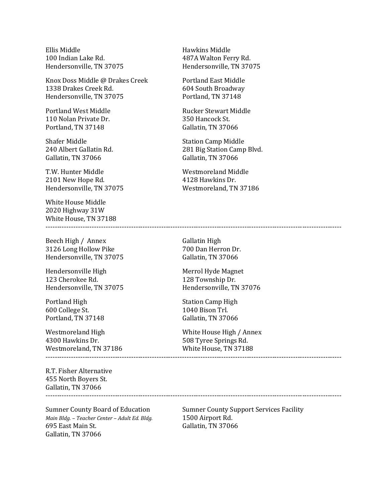Ellis Middle Hawkins Middle Hendersonville, TN 37075

Knox Doss Middle @ Drakes Creek Portland East Middle<br>1338 Drakes Creek Rd. 604 South Broadway 1338 Drakes Creek Rd. 604 South Broadway<br>Hendersonville, TN 37075 Portland, TN 37148 Hendersonville, TN 37075

110 Nolan Private Dr.<br>Portland. TN 37148

Shafer Middle<br>
240 Albert Gallatin Rd.<br>
281 Big Station Camp Gallatin, TN 37066

T.W. Hunter Middle Westmoreland Middle 2101 New Hope Rd. (2001) 2101 Messenger Management Architecture Politics Andrew Middle 2101 New Hope Rd. (200 2101 New Hope Rd.<br>Hendersonville, TN 37075

White House Middle 2020 Highway 31W White House, TN 37188

Beech High / Annex Gallatin High<br>3126 Long Hollow Pike 6 1999 700 Dan Herron Dr. 3126 Long Hollow Pike 700 Dan Herron Dr.<br>
Hendersonville, TN 37075 Gallatin, TN 37066 Hendersonville, TN 37075

Hendersonville High Merrol Hyde Magnet<br>123 Cherokee Rd. 128 Township Dr. 123 Cherokee Rd. 128 Township Dr.<br>Hendersonville. TN 37075 Hendersonville. TN

Portland High Station Camp High Station Camp High Station Camp High Station Camp High Station Camp High Station Camp High Station Camp High Station Camp High Station Camp High Station Camp High Station Camp High Station Ca 600 College St. 1040 Bison Trl. Portland, TN 37148

Westmoreland, TN 37186 --------------------------------------------------------------------------------------------------------------------------------

R.T. Fisher Alternative 455 North Boyers St. Gallatin, TN 37066 --------------------------------------------------------------------------------------------------------------------------------

*Main Bldg. – Teacher Center – Adult Ed. Bldg.* 695 East Main St. Gallatin, TN 37066

487A Walton Ferry Rd.<br>Hendersonville, TN 37075

Portland West Middle Rucker Stewart Middle Gallatin, TN 37066

281 Big Station Camp Blvd.<br>Gallatin, TN 37066

Westmoreland, TN 37186

--------------------------------------------------------------------------------------------------------------------------------

Hendersonville, TN 37076

Westmoreland High White House High / Annex<br>4300 Hawkins Dr. 608 Tyree Springs Rd. 508 Tyree Springs Rd.<br>White House, TN 37188

Sumner County Board of Education Sumner County Support Services Facility<br>Main Bldg. – Teacher Center – Adult Ed. Bldg. 1500 Airport Rd. Gallatin, TN 37066